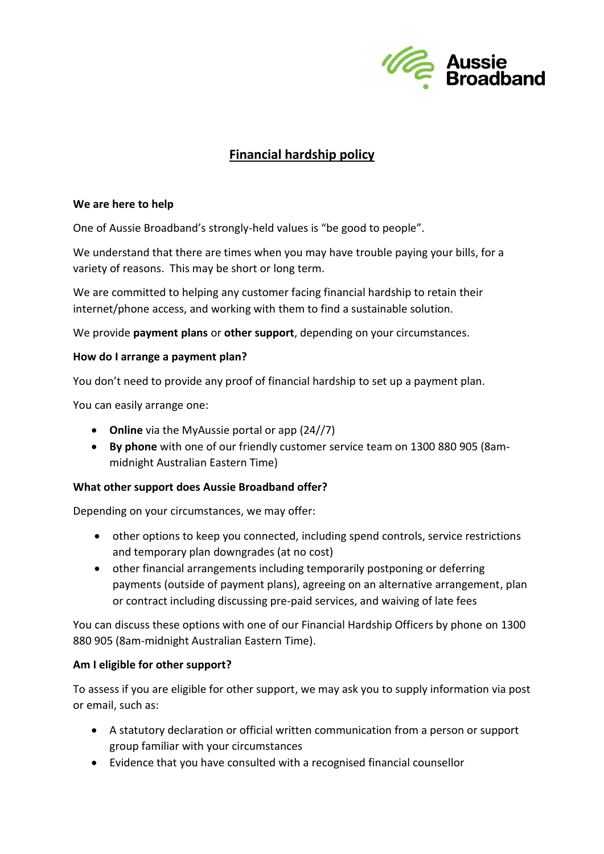

# **Financial hardship policy**

### **We are here to help**

One of Aussie Broadband's strongly-held values is "be good to people".

We understand that there are times when you may have trouble paying your bills, for a variety of reasons. This may be short or long term.

We are committed to helping any customer facing financial hardship to retain their internet/phone access, and working with them to find a sustainable solution.

We provide **payment plans** or **other support**, depending on your circumstances.

### **How do I arrange a payment plan?**

You don't need to provide any proof of financial hardship to set up a payment plan.

You can easily arrange one:

- **Online** via the MyAussie portal or app (24//7)
- **By phone** with one of our friendly customer service team on 1300 880 905 (8ammidnight Australian Eastern Time)

### **What other support does Aussie Broadband offer?**

Depending on your circumstances, we may offer:

- other options to keep you connected, including spend controls, service restrictions and temporary plan downgrades (at no cost)
- other financial arrangements including temporarily postponing or deferring payments (outside of payment plans), agreeing on an alternative arrangement, plan or contract including discussing pre-paid services, and waiving of late fees

You can discuss these options with one of our Financial Hardship Officers by phone on 1300 880 905 (8am-midnight Australian Eastern Time).

# **Am I eligible for other support?**

To assess if you are eligible for other support, we may ask you to supply information via post or email, such as:

- A statutory declaration or official written communication from a person or support group familiar with your circumstances
- Evidence that you have consulted with a recognised financial counsellor